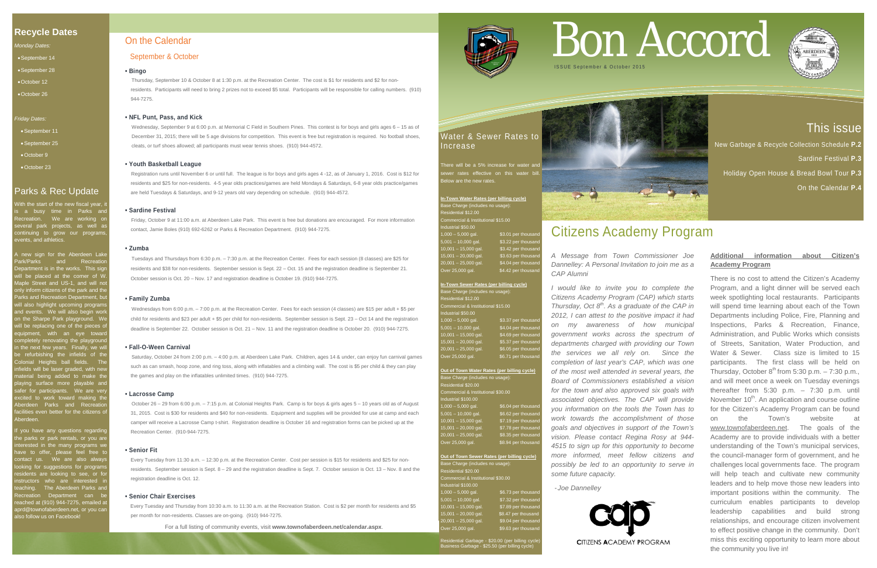# This issue

New Garbage & Recycle Collection Schedule **P.2**  Sardine Festival **P.3**

Holiday Open House & Bread Bowl Tour **P.3**

On the Calendar **P.4**

# **Recycle Dates**

With the start of the new fiscal year, it is a busy time in Parks and Recreation. We are working on several park projects, as well as continuing to grow our programs, vents, and athletics.

*Monday Dates:*

- •September 14
- •September 28
- •October 12 •October 26

### *Friday Dates:*

- •September 11
- •September 25
- •October 9
- •October 23

# Parks & Rec Update

If you have any questions regarding the parks or park rentals, or you are interested in the many programs we have to offer, please feel free to ontact us. We are also alway boking for suggestions for progran sidents are looking to see, or fo instructors who are interested in teaching. The Aberdeen Parks and Recreation Department can be reached at (910) 944-7275, emailed at and@townofaberdeen.net, or you can .<br>Ilso follow us on Facebook!

A new sign for the Aberdeen Lake Park/Parks and Recreation epartment is in the works. This sig will be placed at the corner of W. Maple Street and US-1, and will not lly inform citizens of the park and the nty in suit student of the partment, but<br>Parks and Recreation Department, but vill also highlight upcoming programs ind events. We will also begin work n the Sharpe Park playground. We vill be replacing one of the pieces o quipment, with an eye towar completely renovating the playground in the next few years. Finally, we will be refurbishing the infields of the Colonial Heights ball fields. The nfields will be laser graded, with new terial being added to make the aying surface more playable and afer for participants. We are ver xcited to work toward making the Aberdeen Parks and Recreation facilities even better for the citizens of Aberdeen.

**In-Town Water Rates (per billing cycle)** ase Charge (includes no usage): Commercial & Institutional \$15.00 Industrial \$50.00 \$3.01 per thous 5,001 – 10,000 gal. \$3.22 per thousand 10,001 – 15,000 gal. \$3.42 per thousand \$3.63 per thousan 20,001 – 25,000 gal. \$4.04 per thousand Over 25,000 gal. \$4.42 per thousand

#### **Out of Town Water Rates (per billing cycle)** ase Charge (includes no usage) est shargs (inclu<br>Isidential \$20.00 mmercial & Institutional \$30.00  $d$ ustrial \$100.00 1,000 – 5,000 gal. \$6.04 per thousa ,001 – 10,000 gal. \$6.62 per thousa  $10,001 - 15,000$  gal.  $$7.19$  per thousand \$7.78 per thousa 0,001 – 25,000 ga<mark>l</mark><br>Iver 25,000 gal. \$8.35 per thousand<br>\$8.94 per thousand

**Out of Town Sewer Rates (per billing cycle)** ase Charge (includes no usage<sup>)</sup> esidential \$20.00 ommercial & Institutional \$30.00 dustrial \$100.00  $1,000 - 5,000$  gal. \$6.73 per thous 5,001 – 10,000 gal. \$7.32 per thousand 10,001 – 15,000 gal. \$7.89 per thousand 15,001 - 20,000 gal. \$8.47 per thousand  $20,001 - 25,000$  gal. \$9.04 per thousar  $\overline{O}$  over 25,000 gal.  $\overline{O}$  \$9.63 per thousand

# Water & Sewer Rates to Increase

here will be a 5% increase for water an r rates effective on this water bill elow are the new rates

| In-Town Sewer Rates (per billing cycle) |                     |  |  |  |  |  |
|-----------------------------------------|---------------------|--|--|--|--|--|
| Base Charge (includes no usage):        |                     |  |  |  |  |  |
| Residential \$12.00                     |                     |  |  |  |  |  |
| Commercial & Institutional \$15.00      |                     |  |  |  |  |  |
| Industrial \$50.00                      |                     |  |  |  |  |  |
| $1,000 - 5,000$ gal.                    | \$3.37 per thousand |  |  |  |  |  |
| $5,001 - 10,000$ gal.                   | \$4.04 per thousand |  |  |  |  |  |
| $10,001 - 15,000$ gal.                  | \$4.69 per thousand |  |  |  |  |  |
| $15,001 - 20,000$ gal.                  | \$5.37 per thousand |  |  |  |  |  |
| $20,001 - 25,000$ gal.                  | \$6.05 per thousand |  |  |  |  |  |
| Over 25,000 gal.                        | \$6.71 per thousand |  |  |  |  |  |
|                                         |                     |  |  |  |  |  |
|                                         |                     |  |  |  |  |  |

Wednesdays from 6:00 p.m. – 7:00 p.m. at the Recreation Center. Fees for each session (4 classes) are \$15 per adult + \$5 per child for residents and \$23 per adult + \$5 per child for non-residents. September session is Sept. 23 – Oct 14 and the registration deadline is September 22. October session is Oct. 21 – Nov. 11 and the registration deadline is October 20. (910) 944-7275.

Residential Garbage - \$20.00 (per billing cycle) Business Garbage - \$25.50 (per billing cycle)



For a full listing of community events, visit **www.townofaberdeen.net/calendar.aspx**.



# On the Calendar

## September & October

#### **• Bingo**

Thursday, September 10 & October 8 at 1:30 p.m. at the Recreation Center. The cost is \$1 for residents and \$2 for non residents. Participants will need to bring 2 prizes not to exceed \$5 total. Participants will be responsible for calling numbers. (910) 944-7275.

#### **• NFL Punt, Pass, and Kick**

Wednesday, September 9 at 6:00 p.m. at Memorial C Field in Southern Pines. This contest is for boys and girls ages 6 – 15 as of December 31, 2015; there will be 5 age divisions for competition. This event is free but registration is required. No football shoes, cleats, or turf shoes allowed; all participants must wear tennis shoes. (910) 944-4572.

#### **• Youth Basketball League**

 Registration runs until November 6 or until full. The league is for boys and girls ages 4 -12, as of January 1, 2016. Cost is \$12 for residents and \$25 for non-residents. 4-5 year olds practices/games are held Mondays & Saturdays, 6-8 year olds practice/games are held Tuesdays & Saturdays, and 9-12 years old vary depending on schedule. (910) 944-4572.

#### **• Sardine Festival**

Friday, October 9 at 11:00 a.m. at Aberdeen Lake Park. This event is free but donations are encouraged. For more information contact, Jamie Boles (910) 692-6262 or Parks & Recreation Department. (910) 944-7275.

#### **• Zumba**

Tuesdays and Thursdays from 6:30 p.m. – 7:30 p.m. at the Recreation Center. Fees for each session (8 classes) are \$25 for residents and \$38 for non-residents. September session is Sept. 22 – Oct. 15 and the registration deadline is September 21. October session is Oct. 20 – Nov. 17 and registration deadline is October 19. (910) 944-7275.

#### **• Family Zumba**

#### **• Fall-O-Ween Carnival**

Saturday, October 24 from 2:00 p.m. – 4:00 p.m. at Aberdeen Lake Park. Children, ages 14 & under, can enjoy fun carnival games such as can smash, hoop zone, and ring toss, along with inflatables and a climbing wall. The cost is \$5 per child & they can play the games and play on the inflatables unlimited times. (910) 944-7275.

#### **• Lacrosse Camp**

October 26 – 29 from 6:00 p.m. – 7:15 p.m. at Colonial Heights Park. Camp is for boys & girls ages 5 – 10 years old as of August 31, 2015. Cost is \$30 for residents and \$40 for non-residents. Equipment and supplies will be provided for use at camp and each camper will receive a Lacrosse Camp t-shirt. Registration deadline is October 16 and registration forms can be picked up at the Recreation Center. (910-944-7275.

#### **• Senior Fit**

Every Tuesday from 11:30 a.m. – 12:30 p.m. at the Recreation Center. Cost per session is \$15 for residents and \$25 for non residents. September session is Sept. 8 – 29 and the registration deadline is Sept. 7. October session is Oct. 13 – Nov. 8 and the registration deadline is Oct. 12.

#### **• Senior Chair Exercises**

Every Tuesday and Thursday from 10:30 a.m. to 11:30 a.m. at the Recreation Station. Cost is \$2 per month for residents and \$5 per month for non-residents. Classes are on-going. (910) 944-7275.

# Bon Accord



# Citizens Academy Program

*A Message from Town Commissioner Joe Dannelley: A Personal Invitation to join me as a CAP Alumni*

*I would like to invite you to complete the Citizens Academy Program (CAP) which starts Thursday, Oct 8th. As a graduate of the CAP in 2012, I can attest to the positive impact it had on my awareness of how municipal government works across the spectrum of departments charged with providing our Town the services we all rely on. Since the completion of last year's CAP, which was one of the most well attended in several years, the Board of Commissioners established a vision for the town and also approved six goals with associated objectives. The CAP will provide you information on the tools the Town has to work towards the accomplishment of those goals and objectives in support of the Town's vision. Please contact Regina Rosy at 944- 4515 to sign up for this opportunity to become more informed, meet fellow citizens and possibly be led to an opportunity to serve in some future capacity.* 

- *Joe Dannelley*



# **Additional information about Citizen's Academy Program**

There is no cost to attend the Citizen's Academy Program, and a light dinner will be served each week spotlighting local restaurants. Participants will spend time learning about each of the Town Departments including Police, Fire, Planning and Inspections, Parks & Recreation, Finance, Administration, and Public Works which consists of Streets, Sanitation, Water Production, and Water & Sewer. Class size is limited to 15 participants. The first class will be held on Thursday, October  $8^{th}$  from 5:30 p.m.  $- 7:30$  p.m., and will meet once a week on Tuesday evenings thereafter from 5:30 p.m. – 7:30 p.m. until November  $10<sup>th</sup>$ . An application and course outline for the Citizen's Academy Program can be found on the Town's website [www.townofaberdeen.net.](http://www.townofaberdeen.net/) The goals of the Academy are to provide individuals with a better understanding of the Town's municipal services, the council-manager form of government, and he challenges local governments face. The program will help teach and cultivate new community leaders and to help move those new leaders into important positions within the community. The curriculum enables participants to develop leadership capabilities and build strong relationships, and encourage citizen involvement to effect positive change in the community. Don't miss this exciting opportunity to learn more about the community you live in!